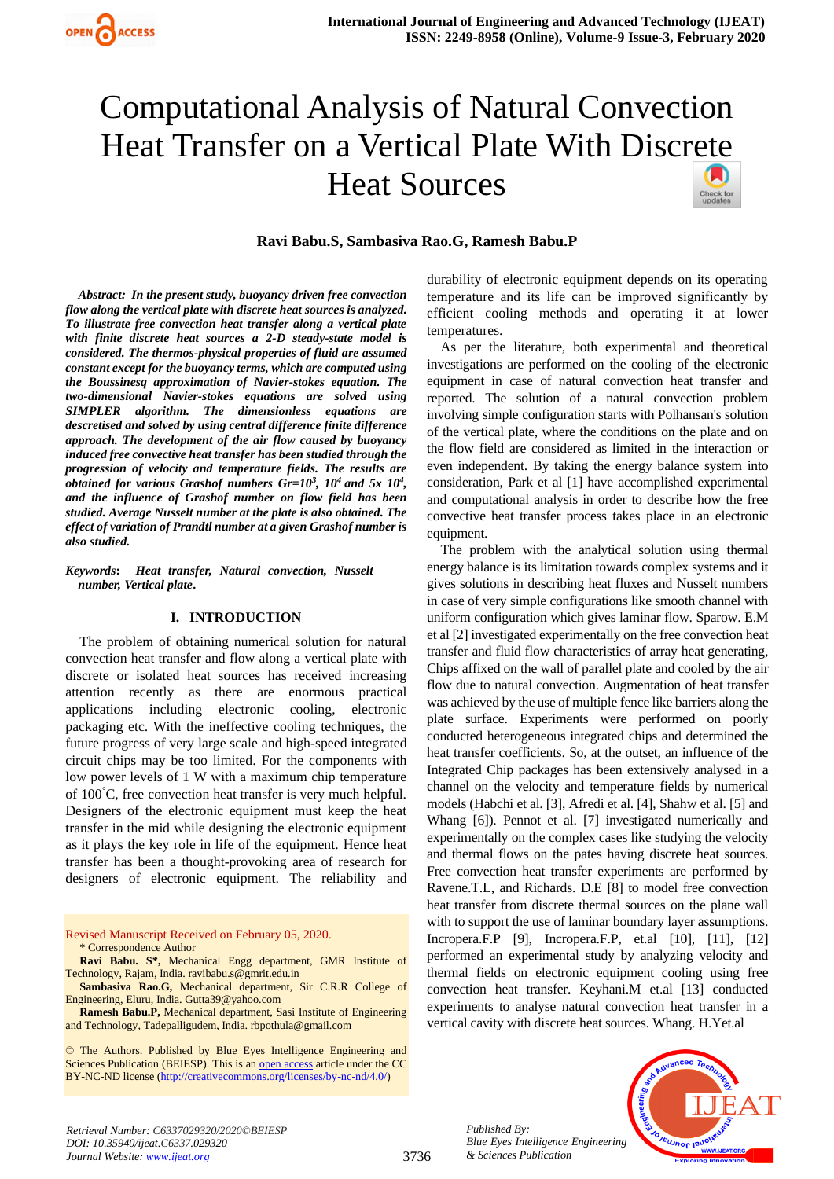# Computational Analysis of Natural Convection Heat Transfer on a Vertical Plate With Disc[rete](https://crossmark.crossref.org/dialog/?doi=10.35940/ijeat.C6337.029320&domain=www.ijeat.org)  Heat Sources Check for<br>updates

# **Ravi Babu.S, Sambasiva Rao.G, Ramesh Babu.P**

*Abstract: In the present study, buoyancy driven free convection flow along the vertical plate with discrete heat sources is analyzed. To illustrate free convection heat transfer along a vertical plate with finite discrete heat sources a 2-D steady-state model is considered. The thermos-physical properties of fluid are assumed constant except for the buoyancy terms, which are computed using the Boussinesq approximation of Navier-stokes equation. The two-dimensional Navier-stokes equations are solved using SIMPLER algorithm. The dimensionless equations are descretised and solved by using central difference finite difference approach. The development of the air flow caused by buoyancy induced free convective heat transfer has been studied through the progression of velocity and temperature fields. The results are obtained for various Grashof numbers Gr=10<sup>3</sup> , 10<sup>4</sup>and 5x 10<sup>4</sup> , and the influence of Grashof number on flow field has been studied. Average Nusselt number at the plate is also obtained. The effect of variation of Prandtl number at a given Grashof number is also studied.*

*Keywords***:** *Heat transfer, Natural convection, Nusselt number, Vertical plate***.**

#### **I. INTRODUCTION**

The problem of obtaining numerical solution for natural convection heat transfer and flow along a vertical plate with discrete or isolated heat sources has received increasing attention recently as there are enormous practical applications including electronic cooling, electronic packaging etc. With the ineffective cooling techniques, the future progress of very large scale and high-speed integrated circuit chips may be too limited. For the components with low power levels of 1 W with a maximum chip temperature of 100°C, free convection heat transfer is very much helpful. Designers of the electronic equipment must keep the heat transfer in the mid while designing the electronic equipment as it plays the key role in life of the equipment. Hence heat transfer has been a thought-provoking area of research for designers of electronic equipment. The reliability and

Revised Manuscript Received on February 05, 2020. \* Correspondence Author

**Ravi Babu. S\*,** Mechanical Engg department, GMR Institute of Technology, Rajam, India. ravibabu.s@gmrit.edu.in

**Sambasiva Rao.G,** Mechanical department, Sir C.R.R College of Engineering, Eluru, India. Gutta39@yahoo.com

**Ramesh Babu.P,** Mechanical department, Sasi Institute of Engineering and Technology, Tadepalligudem, India. rbpothula@gmail.com

© The Authors. Published by Blue Eyes Intelligence Engineering and Sciences Publication (BEIESP). This is a[n open access](https://www.openaccess.nl/en/open-publications) article under the CC BY-NC-ND license [\(http://creativecommons.org/licenses/by-nc-nd/4.0/\)](http://creativecommons.org/licenses/by-nc-nd/4.0/)

durability of electronic equipment depends on its operating temperature and its life can be improved significantly by efficient cooling methods and operating it at lower temperatures.

As per the literature, both experimental and theoretical investigations are performed on the cooling of the electronic equipment in case of natural convection heat transfer and reported. The solution of a natural convection problem involving simple configuration starts with Polhansan's solution of the vertical plate, where the conditions on the plate and on the flow field are considered as limited in the interaction or even independent. By taking the energy balance system into consideration, Park et al [1] have accomplished experimental and computational analysis in order to describe how the free convective heat transfer process takes place in an electronic equipment.

The problem with the analytical solution using thermal energy balance is its limitation towards complex systems and it gives solutions in describing heat fluxes and Nusselt numbers in case of very simple configurations like smooth channel with uniform configuration which gives laminar flow. Sparow. E.M et al [2] investigated experimentally on the free convection heat transfer and fluid flow characteristics of array heat generating, Chips affixed on the wall of parallel plate and cooled by the air flow due to natural convection. Augmentation of heat transfer was achieved by the use of multiple fence like barriers along the plate surface. Experiments were performed on poorly conducted heterogeneous integrated chips and determined the heat transfer coefficients. So, at the outset, an influence of the Integrated Chip packages has been extensively analysed in a channel on the velocity and temperature fields by numerical models (Habchi et al. [3], Afredi et al. [4], Shahw et al. [5] and Whang [6]). Pennot et al. [7] investigated numerically and experimentally on the complex cases like studying the velocity and thermal flows on the pates having discrete heat sources. Free convection heat transfer experiments are performed by Ravene.T.L, and Richards. D.E [8] to model free convection heat transfer from discrete thermal sources on the plane wall with to support the use of laminar boundary layer assumptions. Incropera.F.P [9], Incropera.F.P, et.al [10], [11], [12] performed an experimental study by analyzing velocity and thermal fields on electronic equipment cooling using free convection heat transfer. Keyhani.M et.al [13] conducted experiments to analyse natural convection heat transfer in a vertical cavity with discrete heat sources. Whang. H.Yet.al



*Published By:*

*& Sciences Publication* 

*Blue Eyes Intelligence Engineering*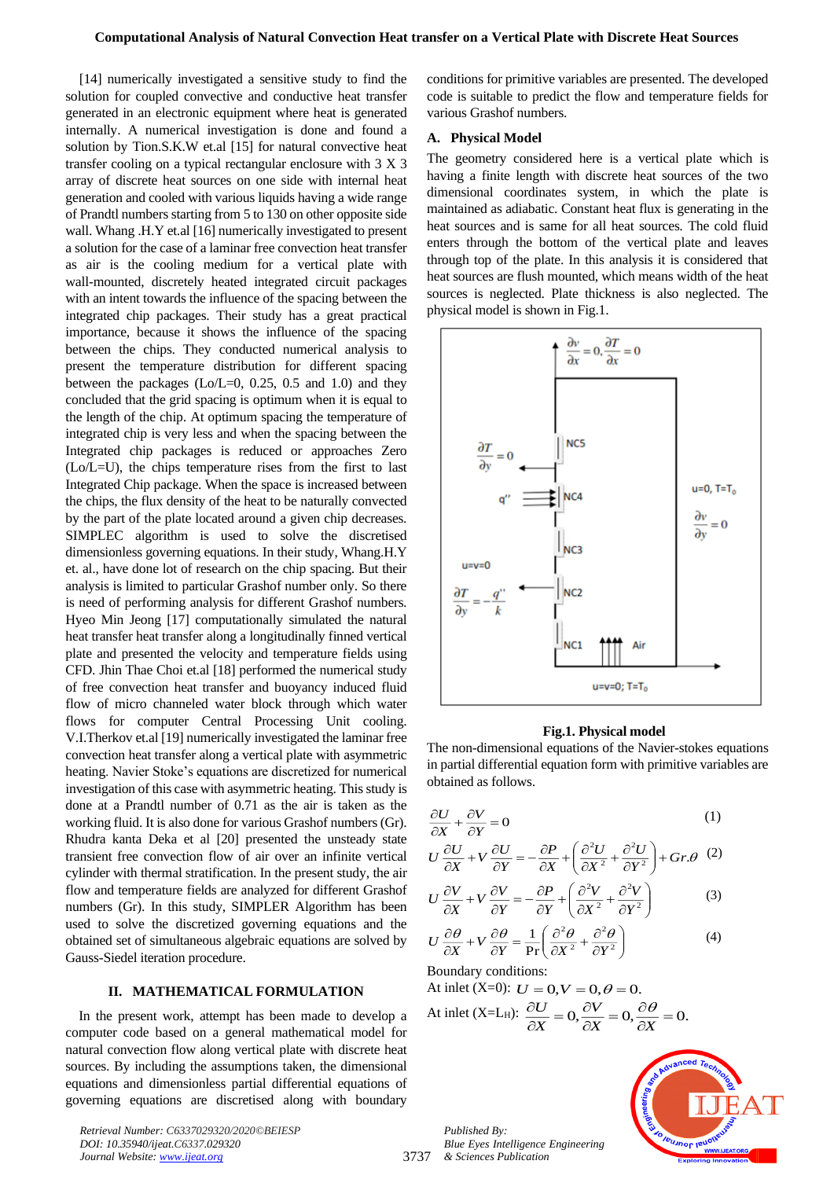[14] numerically investigated a sensitive study to find the solution for coupled convective and conductive heat transfer generated in an electronic equipment where heat is generated internally. A numerical investigation is done and found a solution by Tion.S.K.W et.al [15] for natural convective heat transfer cooling on a typical rectangular enclosure with 3 X 3 array of discrete heat sources on one side with internal heat generation and cooled with various liquids having a wide range of Prandtl numbers starting from 5 to 130 on other opposite side wall. Whang .H.Y et.al [16] numerically investigated to present a solution for the case of a laminar free convection heat transfer as air is the cooling medium for a vertical plate with wall-mounted, discretely heated integrated circuit packages with an intent towards the influence of the spacing between the integrated chip packages. Their study has a great practical importance, because it shows the influence of the spacing between the chips. They conducted numerical analysis to present the temperature distribution for different spacing between the packages (Lo/L=0, 0.25, 0.5 and 1.0) and they concluded that the grid spacing is optimum when it is equal to the length of the chip. At optimum spacing the temperature of integrated chip is very less and when the spacing between the Integrated chip packages is reduced or approaches Zero (Lo/L=U), the chips temperature rises from the first to last Integrated Chip package. When the space is increased between the chips, the flux density of the heat to be naturally convected by the part of the plate located around a given chip decreases. SIMPLEC algorithm is used to solve the discretised dimensionless governing equations. In their study, Whang.H.Y et. al., have done lot of research on the chip spacing. But their analysis is limited to particular Grashof number only. So there is need of performing analysis for different Grashof numbers. Hyeo Min Jeong [17] computationally simulated the natural heat transfer heat transfer along a longitudinally finned vertical plate and presented the velocity and temperature fields using CFD. Jhin Thae Choi et.al [18] performed the numerical study of free convection heat transfer and buoyancy induced fluid flow of micro channeled water block through which water flows for computer Central Processing Unit cooling. V.I.Therkov et.al [19] numerically investigated the laminar free convection heat transfer along a vertical plate with asymmetric heating. Navier Stoke's equations are discretized for numerical investigation of this case with asymmetric heating. This study is done at a Prandtl number of 0.71 as the air is taken as the working fluid. It is also done for various Grashof numbers (Gr). Rhudra kanta Deka et al [20] presented the unsteady state transient free convection flow of air over an infinite vertical cylinder with thermal stratification. In the present study, the air flow and temperature fields are analyzed for different Grashof numbers (Gr). In this study, SIMPLER Algorithm has been used to solve the discretized governing equations and the obtained set of simultaneous algebraic equations are solved by Gauss-Siedel iteration procedure.

### **II. MATHEMATICAL FORMULATION**

In the present work, attempt has been made to develop a computer code based on a general mathematical model for natural convection flow along vertical plate with discrete heat sources. By including the assumptions taken, the dimensional equations and dimensionless partial differential equations of governing equations are discretised along with boundary

*Retrieval Number: C6337029320/2020©BEIESP DOI: 10.35940/ijeat.C6337.029320 Journal Website: [www.ijeat.org](http://www.ijeat.org/)*

conditions for primitive variables are presented. The developed code is suitable to predict the flow and temperature fields for various Grashof numbers.

#### **A. Physical Model**

The geometry considered here is a vertical plate which is having a finite length with discrete heat sources of the two dimensional coordinates system, in which the plate is maintained as adiabatic. Constant heat flux is generating in the heat sources and is same for all heat sources. The cold fluid enters through the bottom of the vertical plate and leaves through top of the plate. In this analysis it is considered that heat sources are flush mounted, which means width of the heat sources is neglected. Plate thickness is also neglected. The physical model is shown in Fig.1.



#### **Fig.1. Physical model**

The non-dimensional equations of the Navier-stokes equations in partial differential equation form with primitive variables are obtained as follows.

$$
\frac{\partial U}{\partial X} + \frac{\partial V}{\partial Y} = 0\tag{1}
$$

$$
U\frac{\partial U}{\partial X} + V\frac{\partial U}{\partial Y} = -\frac{\partial P}{\partial X} + \left(\frac{\partial^2 U}{\partial X^2} + \frac{\partial^2 U}{\partial Y^2}\right) + Gr.\theta
$$
 (2)

$$
U\frac{\partial V}{\partial X} + V\frac{\partial V}{\partial Y} = -\frac{\partial P}{\partial Y} + \left(\frac{\partial^2 V}{\partial X^2} + \frac{\partial^2 V}{\partial Y^2}\right)
$$
(3)

$$
U\frac{\partial\theta}{\partial X} + V\frac{\partial\theta}{\partial Y} = \frac{1}{\text{Pr}}\left(\frac{\partial^2\theta}{\partial X^2} + \frac{\partial^2\theta}{\partial Y^2}\right)
$$
(4)

Boundary conditions:  $A_t$  in let  $(V_0, 0)$ :  $\tau$ :

At inlet (X=0): 
$$
U = 0, V = 0, \theta = 0.
$$
  
At inlet (X=L<sub>H</sub>):  $\frac{\partial U}{\partial X} = 0, \frac{\partial V}{\partial X} = 0, \frac{\partial \theta}{\partial X} = 0.$ 

*Published By: Blue Eyes Intelligence Engineering & Sciences Publication* 

3737

 $\overline{\phantom{a}}$ 

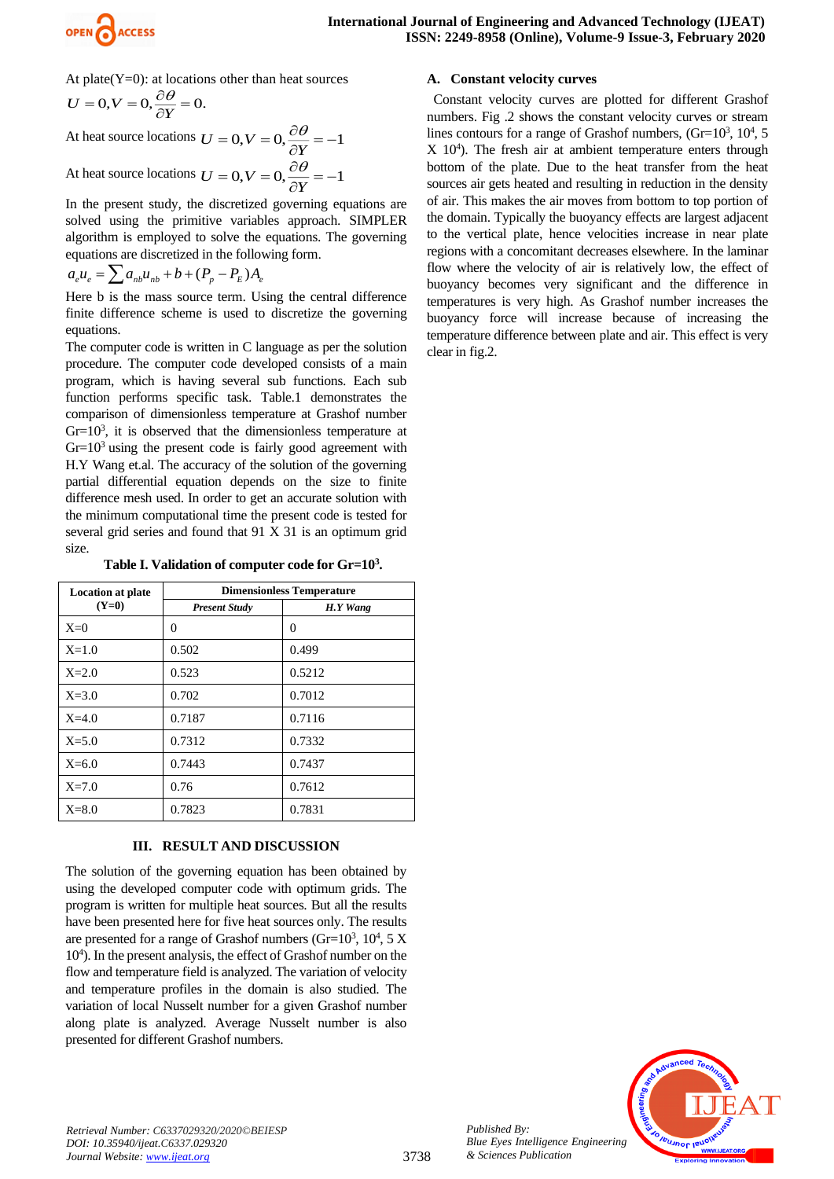

At plate $(Y=0)$ : at locations other than heat sources  $0, V = 0, \frac{\partial \mathcal{L}}{\partial Y} = 0.$  $U = 0, V = 0, \frac{\partial \theta}{\partial Y}$ 

At heat source locations  $U = 0, V = 0, \frac{\partial \theta}{\partial Y} = -1$  $U = 0, V = 0, \frac{\partial \theta}{\partial Y}$ At heat source locations  $U = 0, V = 0, \frac{\partial \theta}{\partial Y} = -1$  $U = 0, V = 0, \frac{\partial \theta}{\partial Y}$ 

In the present study, the discretized governing equations are solved using the primitive variables approach. SIMPLER algorithm is employed to solve the equations. The governing equations are discretized in the following form.

$$
a_e u_e = \sum a_{nb} u_{nb} + b + (P_p - P_E) A_e
$$

Here b is the mass source term. Using the central difference finite difference scheme is used to discretize the governing equations.

The computer code is written in C language as per the solution procedure. The computer code developed consists of a main program, which is having several sub functions. Each sub function performs specific task. Table.1 demonstrates the comparison of dimensionless temperature at Grashof number  $Gr=10<sup>3</sup>$ , it is observed that the dimensionless temperature at  $Gr=10<sup>3</sup>$  using the present code is fairly good agreement with H.Y Wang et.al. The accuracy of the solution of the governing partial differential equation depends on the size to finite difference mesh used. In order to get an accurate solution with the minimum computational time the present code is tested for several grid series and found that 91 X 31 is an optimum grid size.

**Table I. Validation of computer code for Gr=10<sup>3</sup> .**

| <b>Location at plate</b><br>$(Y=0)$ | <b>Dimensionless Temperature</b> |          |
|-------------------------------------|----------------------------------|----------|
|                                     | <b>Present Study</b>             | H.Y Wang |
| $X=0$                               | 0                                | 0        |
| $X=1.0$                             | 0.502                            | 0.499    |
| $X=2.0$                             | 0.523                            | 0.5212   |
| $X = 3.0$                           | 0.702                            | 0.7012   |
| $X=4.0$                             | 0.7187                           | 0.7116   |
| $X=5.0$                             | 0.7312                           | 0.7332   |
| $X=6.0$                             | 0.7443                           | 0.7437   |
| $X=7.0$                             | 0.76                             | 0.7612   |
| $X=8.0$                             | 0.7823                           | 0.7831   |

# **III. RESULT AND DISCUSSION**

The solution of the governing equation has been obtained by using the developed computer code with optimum grids. The program is written for multiple heat sources. But all the results have been presented here for five heat sources only. The results are presented for a range of Grashof numbers (Gr= $10^3$ ,  $10^4$ ,  $5 \text{ X}$ ) 10<sup>4</sup> ). In the present analysis, the effect of Grashof number on the flow and temperature field is analyzed. The variation of velocity and temperature profiles in the domain is also studied. The variation of local Nusselt number for a given Grashof number along plate is analyzed. Average Nusselt number is also presented for different Grashof numbers.

# **A. Constant velocity curves**

 Constant velocity curves are plotted for different Grashof numbers. Fig .2 shows the constant velocity curves or stream lines contours for a range of Grashof numbers,  $(Gr=10^3, 10^4, 5$ X 10<sup>4</sup> ). The fresh air at ambient temperature enters through bottom of the plate. Due to the heat transfer from the heat sources air gets heated and resulting in reduction in the density of air. This makes the air moves from bottom to top portion of the domain. Typically the buoyancy effects are largest adjacent to the vertical plate, hence velocities increase in near plate regions with a concomitant decreases elsewhere. In the laminar flow where the velocity of air is relatively low, the effect of buoyancy becomes very significant and the difference in temperatures is very high. As Grashof number increases the buoyancy force will increase because of increasing the temperature difference between plate and air. This effect is very clear in fig.2.



*Published By:*

*& Sciences Publication*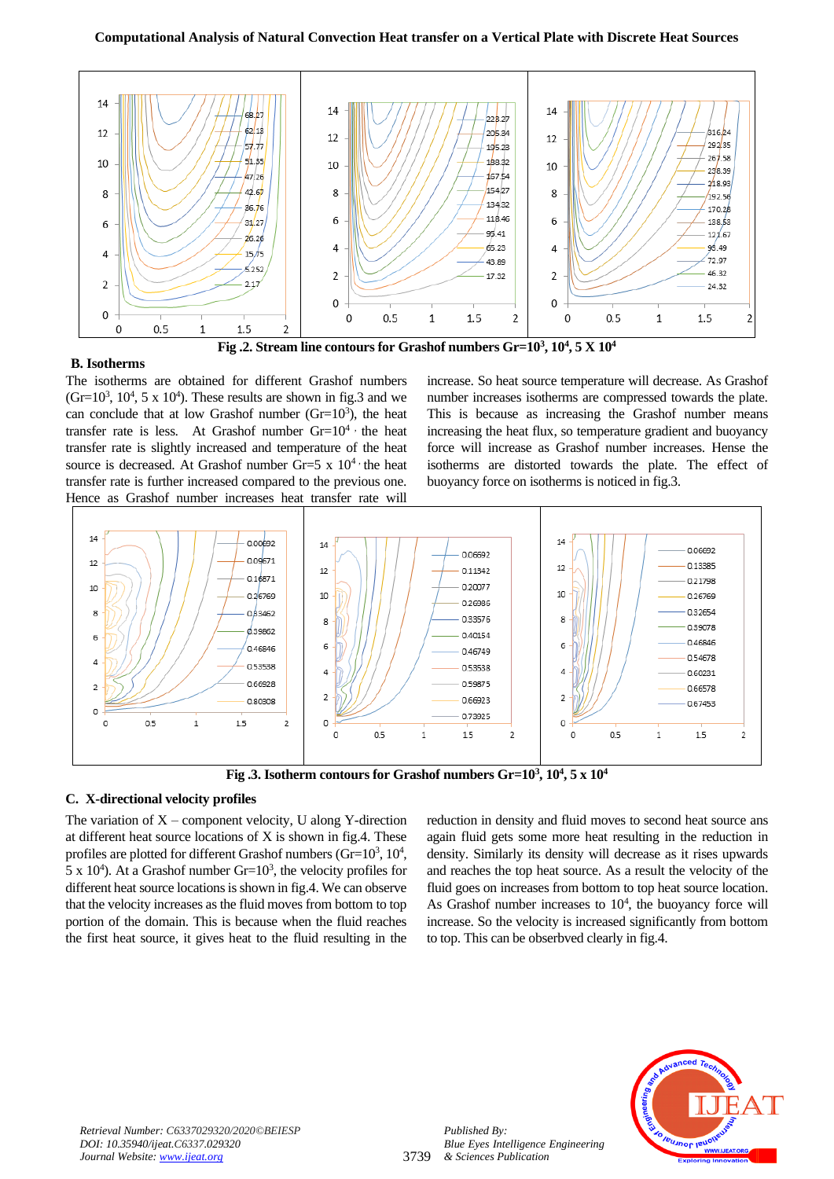# **Computational Analysis of Natural Convection Heat transfer on a Vertical Plate with Discrete Heat Sources**





**Fig .2. Stream line contours for Grashof numbers Gr=10<sup>3</sup> , 10<sup>4</sup> , 5 X 10<sup>4</sup>**

The isotherms are obtained for different Grashof numbers  $(Gr=10^3, 10^4, 5 \times 10^4)$ . These results are shown in fig.3 and we can conclude that at low Grashof number  $(Gr=10<sup>3</sup>)$ , the heat transfer rate is less. At Grashof number  $Gr=10^4$  the heat transfer rate is slightly increased and temperature of the heat source is decreased. At Grashof number Gr=5 x  $10<sup>4</sup>$  the heat transfer rate is further increased compared to the previous one. Hence as Grashof number increases heat transfer rate will

increase. So heat source temperature will decrease. As Grashof number increases isotherms are compressed towards the plate. This is because as increasing the Grashof number means increasing the heat flux, so temperature gradient and buoyancy force will increase as Grashof number increases. Hense the isotherms are distorted towards the plate. The effect of buoyancy force on isotherms is noticed in fig.3.



**Fig .3. Isotherm contours for Grashof numbers Gr=10<sup>3</sup> , 10<sup>4</sup> , 5 x 10<sup>4</sup>**

# **C. X-directional velocity profiles**

The variation of  $X$  – component velocity, U along Y-direction at different heat source locations of X is shown in fig.4. These profiles are plotted for different Grashof numbers (Gr= $10^3$ ,  $10^4$ ,  $5 \times 10^4$ ). At a Grashof number Gr= $10^3$ , the velocity profiles for different heat source locations is shown in fig.4. We can observe that the velocity increases as the fluid moves from bottom to top portion of the domain. This is because when the fluid reaches the first heat source, it gives heat to the fluid resulting in the

reduction in density and fluid moves to second heat source ans again fluid gets some more heat resulting in the reduction in density. Similarly its density will decrease as it rises upwards and reaches the top heat source. As a result the velocity of the fluid goes on increases from bottom to top heat source location. As Grashof number increases to  $10<sup>4</sup>$ , the buoyancy force will increase. So the velocity is increased significantly from bottom to top. This can be obserbved clearly in fig.4.



*Published By:*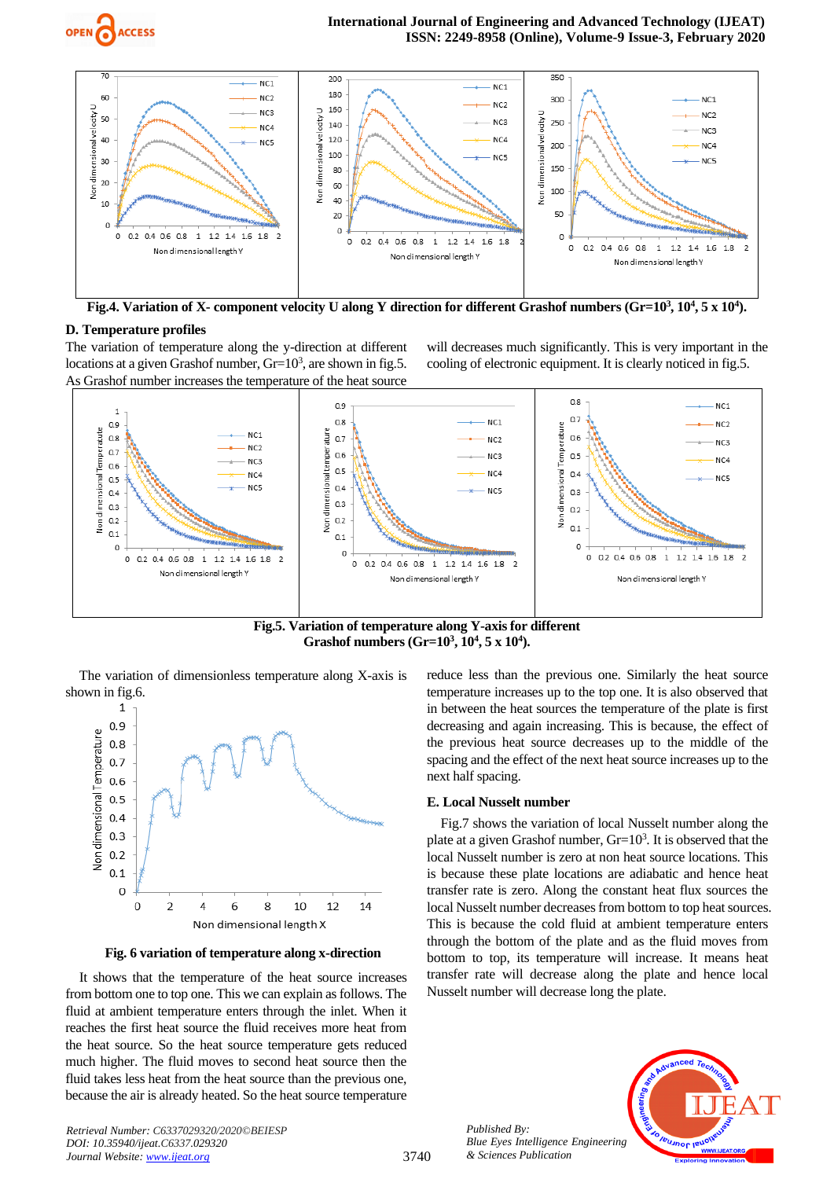



**Fig.4. Variation of X- component velocity U along Y direction for different Grashof numbers (Gr=10<sup>3</sup> , 10<sup>4</sup> , 5 x 10<sup>4</sup> ).**

## **D. Temperature profiles**

The variation of temperature along the y-direction at different locations at a given Grashof number,  $Gr=10^3$ , are shown in fig.5. As Grashof number increases the temperature of the heat source

will decreases much significantly. This is very important in the cooling of electronic equipment. It is clearly noticed in fig.5.



**Fig.5. Variation of temperature along Y-axis for different Grashof numbers (Gr=10<sup>3</sup> , 10<sup>4</sup> , 5 x 10<sup>4</sup> ).**

The variation of dimensionless temperature along X-axis is shown in fig.6.



**Fig. 6 variation of temperature along x-direction**

It shows that the temperature of the heat source increases from bottom one to top one. This we can explain as follows. The fluid at ambient temperature enters through the inlet. When it reaches the first heat source the fluid receives more heat from the heat source. So the heat source temperature gets reduced much higher. The fluid moves to second heat source then the fluid takes less heat from the heat source than the previous one, because the air is already heated. So the heat source temperature reduce less than the previous one. Similarly the heat source temperature increases up to the top one. It is also observed that in between the heat sources the temperature of the plate is first decreasing and again increasing. This is because, the effect of the previous heat source decreases up to the middle of the spacing and the effect of the next heat source increases up to the next half spacing.

## **E. Local Nusselt number**

Fig.7 shows the variation of local Nusselt number along the plate at a given Grashof number,  $Gr=10<sup>3</sup>$ . It is observed that the local Nusselt number is zero at non heat source locations. This is because these plate locations are adiabatic and hence heat transfer rate is zero. Along the constant heat flux sources the local Nusselt number decreases from bottom to top heat sources. This is because the cold fluid at ambient temperature enters through the bottom of the plate and as the fluid moves from bottom to top, its temperature will increase. It means heat transfer rate will decrease along the plate and hence local Nusselt number will decrease long the plate.

> *Published By: Blue Eyes Intelligence Engineering & Sciences Publication*

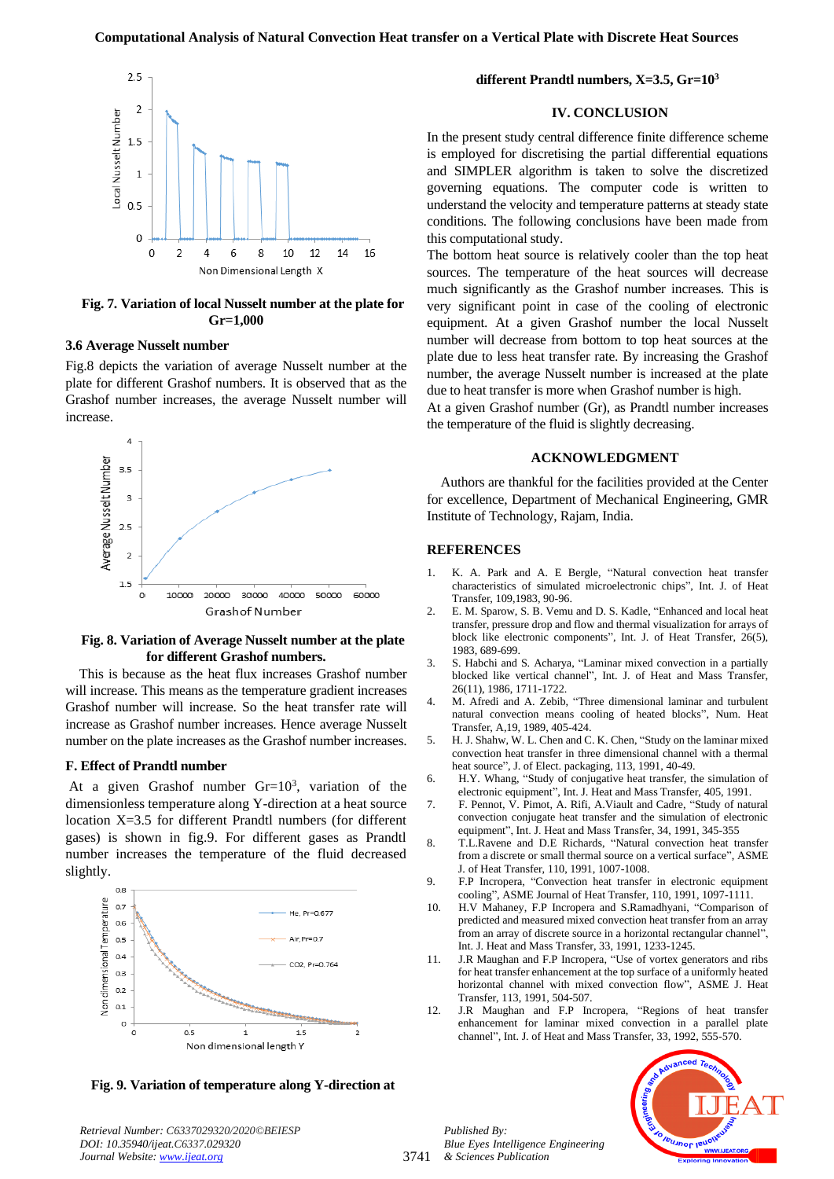

**Fig. 7. Variation of local Nusselt number at the plate for Gr=1,000**

### **3.6 Average Nusselt number**

Fig.8 depicts the variation of average Nusselt number at the plate for different Grashof numbers. It is observed that as the Grashof number increases, the average Nusselt number will increase.



## **Fig. 8. Variation of Average Nusselt number at the plate for different Grashof numbers.**

This is because as the heat flux increases Grashof number will increase. This means as the temperature gradient increases Grashof number will increase. So the heat transfer rate will increase as Grashof number increases. Hence average Nusselt number on the plate increases as the Grashof number increases.

#### **F. Effect of Prandtl number**

At a given Grashof number  $Gr=10^3$ , variation of the dimensionless temperature along Y-direction at a heat source location X=3.5 for different Prandtl numbers (for different gases) is shown in fig.9. For different gases as Prandtl number increases the temperature of the fluid decreased slightly.



**Fig. 9. Variation of temperature along Y-direction at** 

**different Prandtl numbers, X=3.5, Gr=10<sup>3</sup>**

## **IV. CONCLUSION**

In the present study central difference finite difference scheme is employed for discretising the partial differential equations and SIMPLER algorithm is taken to solve the discretized governing equations. The computer code is written to understand the velocity and temperature patterns at steady state conditions. The following conclusions have been made from this computational study.

The bottom heat source is relatively cooler than the top heat sources. The temperature of the heat sources will decrease much significantly as the Grashof number increases. This is very significant point in case of the cooling of electronic equipment. At a given Grashof number the local Nusselt number will decrease from bottom to top heat sources at the plate due to less heat transfer rate. By increasing the Grashof number, the average Nusselt number is increased at the plate due to heat transfer is more when Grashof number is high.

At a given Grashof number (Gr), as Prandtl number increases the temperature of the fluid is slightly decreasing.

## **ACKNOWLEDGMENT**

Authors are thankful for the facilities provided at the Center for excellence, Department of Mechanical Engineering, GMR Institute of Technology, Rajam, India.

#### **REFERENCES**

- 1. K. A. Park and A. E Bergle, "Natural convection heat transfer characteristics of simulated microelectronic chips", Int. J. of Heat Transfer, 109,1983, 90-96.
- 2. E. M. Sparow, S. B. Vemu and D. S. Kadle, "Enhanced and local heat transfer, pressure drop and flow and thermal visualization for arrays of block like electronic components", Int. J. of Heat Transfer, 26(5), 1983, 689-699.
- 3. S. Habchi and S. Acharya, "Laminar mixed convection in a partially blocked like vertical channel", Int. J. of Heat and Mass Transfer, 26(11), 1986, 1711-1722.
- 4. M. Afredi and A. Zebib, "Three dimensional laminar and turbulent natural convection means cooling of heated blocks", Num. Heat Transfer, A,19, 1989, 405-424.
- 5. H. J. Shahw, W. L. Chen and C. K. Chen, "Study on the laminar mixed convection heat transfer in three dimensional channel with a thermal heat source", J. of Elect. packaging, 113, 1991, 40-49.
- 6. H.Y. Whang, "Study of conjugative heat transfer, the simulation of electronic equipment", Int. J. Heat and Mass Transfer, 405, 1991.
- 7. F. Pennot, V. Pimot, A. Rifi, A.Viault and Cadre, "Study of natural convection conjugate heat transfer and the simulation of electronic equipment", Int. J. Heat and Mass Transfer, 34, 1991, 345-355
- 8. T.L.Ravene and D.E Richards, "Natural convection heat transfer from a discrete or small thermal source on a vertical surface", ASME J. of Heat Transfer, 110, 1991, 1007-1008.
- 9. F.P Incropera, "Convection heat transfer in electronic equipment cooling", ASME Journal of Heat Transfer, 110, 1991, 1097-1111.
- 10. H.V Mahaney, F.P Incropera and S.Ramadhyani, "Comparison of predicted and measured mixed convection heat transfer from an array from an array of discrete source in a horizontal rectangular channel", Int. J. Heat and Mass Transfer, 33, 1991, 1233-1245.
- 11. J.R Maughan and F.P Incropera, "Use of vortex generators and ribs for heat transfer enhancement at the top surface of a uniformly heated horizontal channel with mixed convection flow", ASME J. Heat Transfer, 113, 1991, 504-507.
- 12. J.R Maughan and F.P Incropera, "Regions of heat transfer enhancement for laminar mixed convection in a parallel plate channel", Int. J. of Heat and Mass Transfer, 33, 1992, 555-570.



*Retrieval Number: C6337029320/2020©BEIESP DOI: 10.35940/ijeat.C6337.029320 Journal Website: [www.ijeat.org](http://www.ijeat.org/)*

3741

*Published By: Blue Eyes Intelligence Engineering & Sciences Publication*